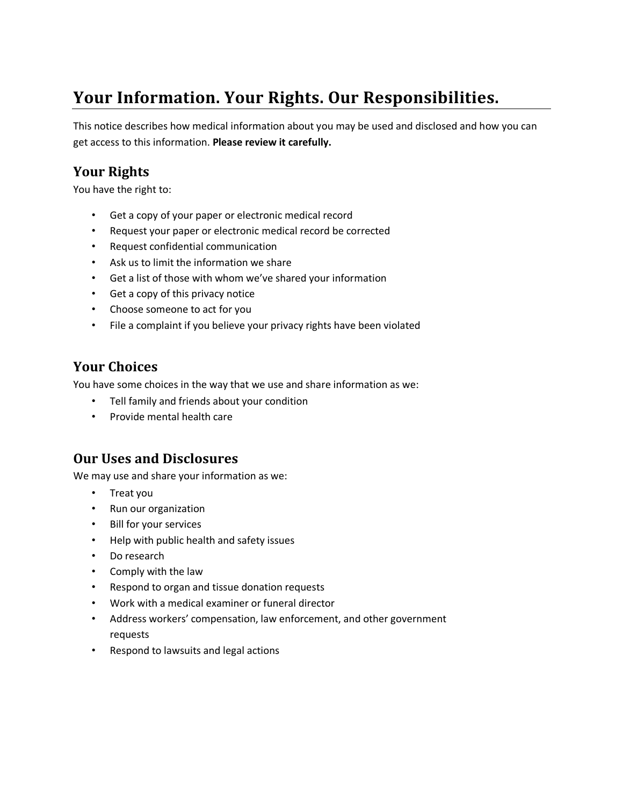# **Your Information. Your Rights. Our Responsibilities.**

This notice describes how medical information about you may be used and disclosed and how you can get access to this information. **Please review it carefully.**

# **Your Rights**

You have the right to:

- Get a copy of your paper or electronic medical record
- Request your paper or electronic medical record be corrected
- Request confidential communication
- Ask us to limit the information we share
- Get a list of those with whom we've shared your information
- Get a copy of this privacy notice
- Choose someone to act for you
- File a complaint if you believe your privacy rights have been violated

### **Your Choices**

You have some choices in the way that we use and share information as we:

- Tell family and friends about your condition
- Provide mental health care

### **Our Uses and Disclosures**

We may use and share your information as we:

- Treat you
- Run our organization
- Bill for your services
- Help with public health and safety issues
- Do research
- Comply with the law
- Respond to organ and tissue donation requests
- Work with a medical examiner or funeral director
- Address workers' compensation, law enforcement, and other government requests
- Respond to lawsuits and legal actions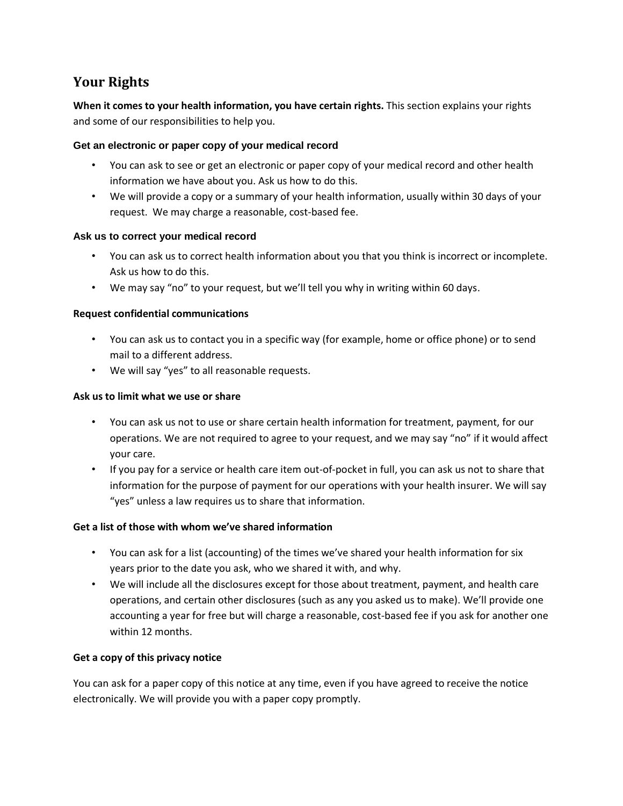# **Your Rights**

**When it comes to your health information, you have certain rights.** This section explains your rights and some of our responsibilities to help you.

#### **Get an electronic or paper copy of your medical record**

- You can ask to see or get an electronic or paper copy of your medical record and other health information we have about you. Ask us how to do this.
- We will provide a copy or a summary of your health information, usually within 30 days of your request. We may charge a reasonable, cost-based fee.

#### **Ask us to correct your medical record**

- You can ask us to correct health information about you that you think is incorrect or incomplete. Ask us how to do this.
- We may say "no" to your request, but we'll tell you why in writing within 60 days.

#### **Request confidential communications**

- You can ask us to contact you in a specific way (for example, home or office phone) or to send mail to a different address.
- We will say "yes" to all reasonable requests.

#### **Ask us to limit what we use or share**

- You can ask us not to use or share certain health information for treatment, payment, for our operations. We are not required to agree to your request, and we may say "no" if it would affect your care.
- If you pay for a service or health care item out-of-pocket in full, you can ask us not to share that information for the purpose of payment for our operations with your health insurer. We will say "yes" unless a law requires us to share that information.

#### **Get a list of those with whom we've shared information**

- You can ask for a list (accounting) of the times we've shared your health information for six years prior to the date you ask, who we shared it with, and why.
- We will include all the disclosures except for those about treatment, payment, and health care operations, and certain other disclosures (such as any you asked us to make). We'll provide one accounting a year for free but will charge a reasonable, cost-based fee if you ask for another one within 12 months.

#### **Get a copy of this privacy notice**

You can ask for a paper copy of this notice at any time, even if you have agreed to receive the notice electronically. We will provide you with a paper copy promptly.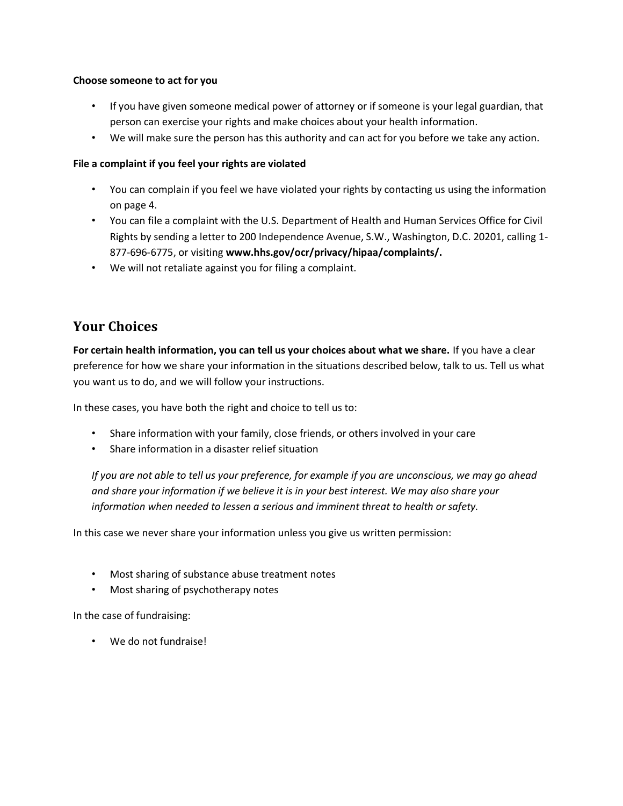#### **Choose someone to act for you**

- If you have given someone medical power of attorney or if someone is your legal guardian, that person can exercise your rights and make choices about your health information.
- We will make sure the person has this authority and can act for you before we take any action.

#### **File a complaint if you feel your rights are violated**

- You can complain if you feel we have violated your rights by contacting us using the information on page 4.
- You can file a complaint with the U.S. Department of Health and Human Services Office for Civil Rights by sending a letter to 200 Independence Avenue, S.W., Washington, D.C. 20201, calling 1- 877-696-6775, or visiting **www.hhs.gov/ocr/privacy/hipaa/complaints/.**
- We will not retaliate against you for filing a complaint.

### **Your Choices**

**For certain health information, you can tell us your choices about what we share.** If you have a clear preference for how we share your information in the situations described below, talk to us. Tell us what you want us to do, and we will follow your instructions.

In these cases, you have both the right and choice to tell us to:

- Share information with your family, close friends, or others involved in your care
- Share information in a disaster relief situation

*If you are not able to tell us your preference, for example if you are unconscious, we may go ahead and share your information if we believe it is in your best interest. We may also share your information when needed to lessen a serious and imminent threat to health or safety.*

In this case we never share your information unless you give us written permission:

- Most sharing of substance abuse treatment notes
- Most sharing of psychotherapy notes

In the case of fundraising:

• We do not fundraise!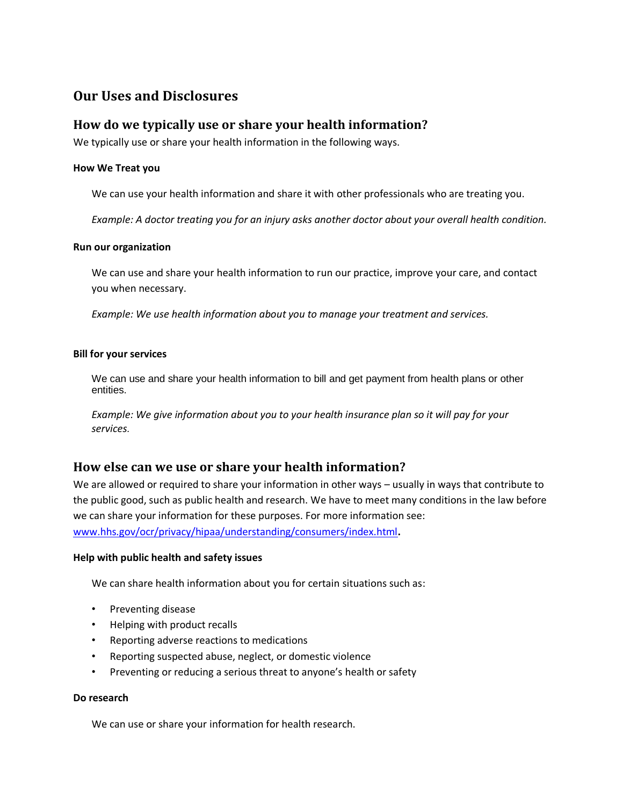### **Our Uses and Disclosures**

### **How do we typically use or share your health information?**

We typically use or share your health information in the following ways.

#### **How We Treat you**

We can use your health information and share it with other professionals who are treating you.

*Example: A doctor treating you for an injury asks another doctor about your overall health condition.*

#### **Run our organization**

We can use and share your health information to run our practice, improve your care, and contact you when necessary.

*Example: We use health information about you to manage your treatment and services.* 

#### **Bill for your services**

We can use and share your health information to bill and get payment from health plans or other entities.

*Example: We give information about you to your health insurance plan so it will pay for your services.* 

### **How else can we use or share your health information?**

We are allowed or required to share your information in other ways – usually in ways that contribute to the public good, such as public health and research. We have to meet many conditions in the law before we can share your information for these purposes. For more information see: [www.hhs.gov/ocr/privacy/hipaa/understanding/consumers/index.html](http://www.hhs.gov/ocr/privacy/hipaa/understanding/consumers/index.html)**.**

#### **Help with public health and safety issues**

We can share health information about you for certain situations such as:

- Preventing disease
- Helping with product recalls
- Reporting adverse reactions to medications
- Reporting suspected abuse, neglect, or domestic violence
- Preventing or reducing a serious threat to anyone's health or safety

#### **Do research**

We can use or share your information for health research.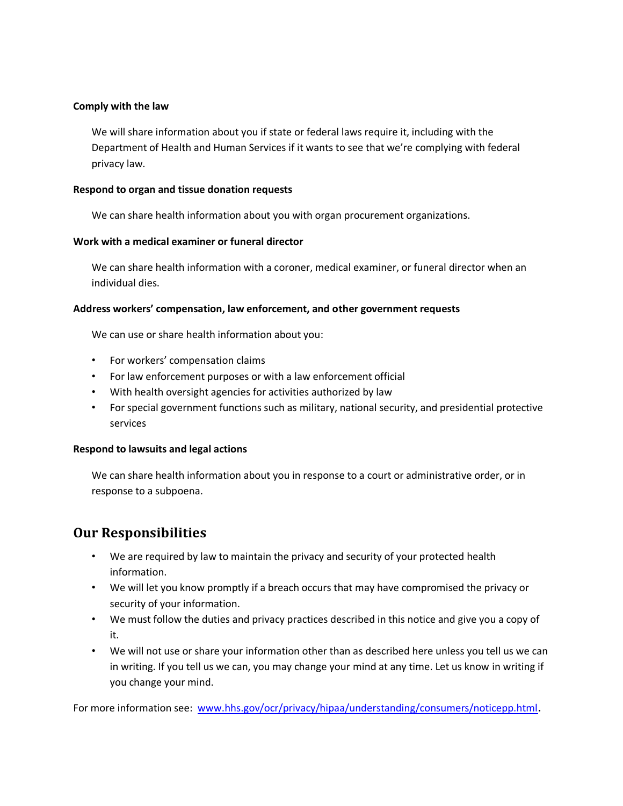#### **Comply with the law**

We will share information about you if state or federal laws require it, including with the Department of Health and Human Services if it wants to see that we're complying with federal privacy law.

#### **Respond to organ and tissue donation requests**

We can share health information about you with organ procurement organizations.

#### **Work with a medical examiner or funeral director**

We can share health information with a coroner, medical examiner, or funeral director when an individual dies.

#### **Address workers' compensation, law enforcement, and other government requests**

We can use or share health information about you:

- For workers' compensation claims
- For law enforcement purposes or with a law enforcement official
- With health oversight agencies for activities authorized by law
- For special government functions such as military, national security, and presidential protective services

#### **Respond to lawsuits and legal actions**

We can share health information about you in response to a court or administrative order, or in response to a subpoena.

### **Our Responsibilities**

- We are required by law to maintain the privacy and security of your protected health information.
- We will let you know promptly if a breach occurs that may have compromised the privacy or security of your information.
- We must follow the duties and privacy practices described in this notice and give you a copy of it.
- We will not use or share your information other than as described here unless you tell us we can in writing. If you tell us we can, you may change your mind at any time. Let us know in writing if you change your mind.

For more information see: [www.hhs.gov/ocr/privacy/hipaa/understanding/consumers/noticepp.html](http://www.hhs.gov/ocr/privacy/hipaa/understanding/consumers/noticepp.html)**.**